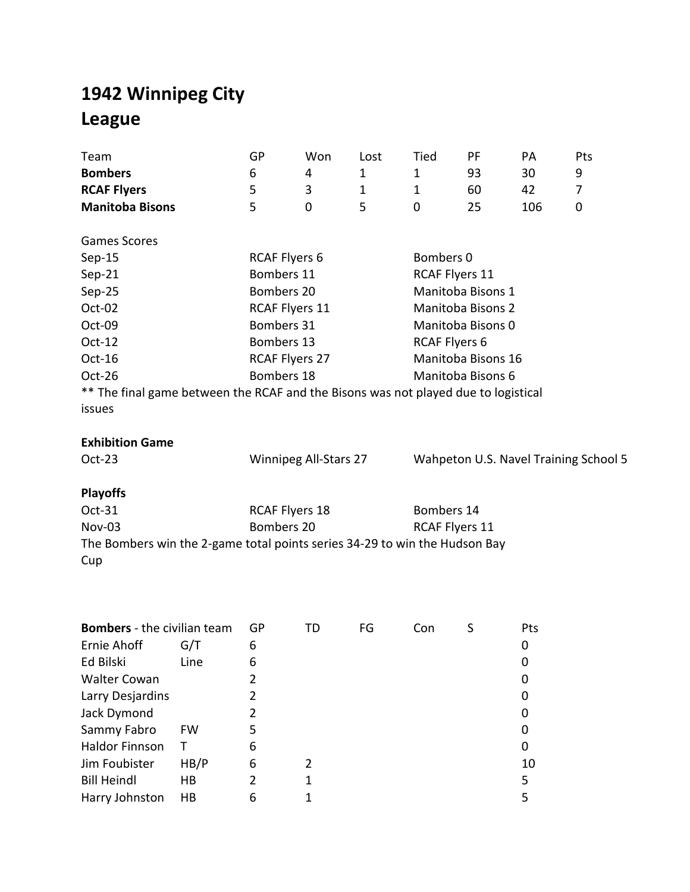## **1942 Winnipeg City League**

| Team<br><b>Bombers</b><br><b>RCAF Flyers</b><br><b>Manitoba Bisons</b>                                                                                                                                                        |                                     | GP<br>6<br>5<br>5                                                                                                                     | Won<br>4<br>3<br>0           | Lost<br>$\mathbf{1}$<br>1<br>5 | Tied<br>1<br>$\mathbf{1}$<br>$\mathbf 0$            | PF<br>93<br>60<br>25                                                                                          | PA<br>30<br>42<br>106                                  | Pts<br>9<br>7<br>0                    |
|-------------------------------------------------------------------------------------------------------------------------------------------------------------------------------------------------------------------------------|-------------------------------------|---------------------------------------------------------------------------------------------------------------------------------------|------------------------------|--------------------------------|-----------------------------------------------------|---------------------------------------------------------------------------------------------------------------|--------------------------------------------------------|---------------------------------------|
| <b>Games Scores</b><br>$Sep-15$<br>Sep-21<br>Sep-25<br>Oct-02<br>Oct-09<br>Oct-12<br>Oct-16<br>Oct-26<br>** The final game between the RCAF and the Bisons was not played due to logistical<br>issues                         |                                     | <b>RCAF Flyers 6</b><br>Bombers 11<br>Bombers 20<br>RCAF Flyers 11<br>Bombers 31<br>Bombers 13<br><b>RCAF Flyers 27</b><br>Bombers 18 |                              |                                | Bombers 0<br>RCAF Flyers 11<br><b>RCAF Flyers 6</b> | Manitoba Bisons 1<br><b>Manitoba Bisons 2</b><br>Manitoba Bisons 0<br>Manitoba Bisons 16<br>Manitoba Bisons 6 |                                                        |                                       |
| <b>Exhibition Game</b><br>Oct-23<br><b>Playoffs</b><br>Oct-31<br>Nov-03<br>The Bombers win the 2-game total points series 34-29 to win the Hudson Bay<br>Cup                                                                  |                                     | <b>RCAF Flyers 18</b><br>Bombers 20                                                                                                   | Winnipeg All-Stars 27        |                                | Bombers 14<br><b>RCAF Flyers 11</b>                 |                                                                                                               |                                                        | Wahpeton U.S. Navel Training School 5 |
| <b>Bombers</b> - the civilian team<br>Ernie Ahoff G/T<br>Ed Bilski<br><b>Walter Cowan</b><br>Larry Desjardins<br>Jack Dymond<br>Sammy Fabro<br><b>Haldor Finnson</b><br>Jim Foubister<br><b>Bill Heindl</b><br>Harry Johnston | Line<br>FW<br>т<br>HB/P<br>HB<br>HB | GP<br>6<br>6<br>2<br>2<br>2<br>5<br>6<br>6<br>2<br>6                                                                                  | TD<br>2<br>1<br>$\mathbf{1}$ | FG                             | Con                                                 | S                                                                                                             | Pts<br>0<br>0<br>0<br>0<br>0<br>0<br>0<br>10<br>5<br>5 |                                       |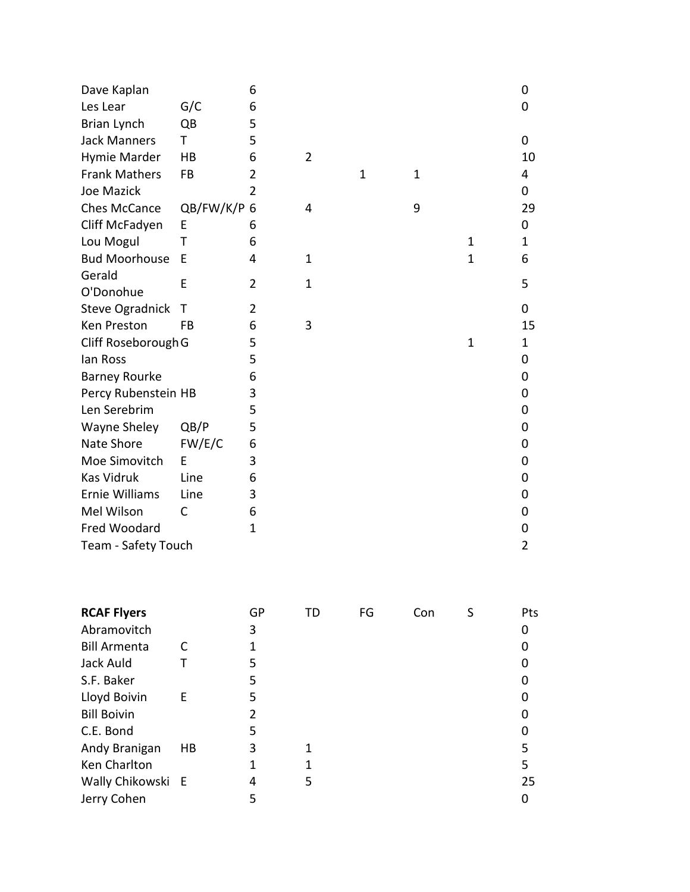| Dave Kaplan            |           | 6              |                |              |              |              | 0              |
|------------------------|-----------|----------------|----------------|--------------|--------------|--------------|----------------|
| Les Lear               | G/C       | 6              |                |              |              |              | 0              |
| Brian Lynch            | QB        | 5              |                |              |              |              |                |
| <b>Jack Manners</b>    | T         | 5              |                |              |              |              | 0              |
| Hymie Marder           | HB        | 6              | $\overline{2}$ |              |              |              | 10             |
| <b>Frank Mathers</b>   | <b>FB</b> | 2              |                | $\mathbf{1}$ | $\mathbf{1}$ |              | 4              |
| Joe Mazick             |           | $\overline{2}$ |                |              |              |              | 0              |
| <b>Ches McCance</b>    | QB/FW/K/P | 6              | 4              |              | 9            |              | 29             |
| Cliff McFadyen         | F         | 6              |                |              |              |              | 0              |
| Lou Mogul              | Τ         | 6              |                |              |              | $\mathbf{1}$ | 1              |
| <b>Bud Moorhouse</b>   | F         | 4              | $\mathbf{1}$   |              |              | $\mathbf{1}$ | 6              |
| Gerald                 | E         | $\overline{2}$ | $\mathbf{1}$   |              |              |              | 5              |
| O'Donohue              |           |                |                |              |              |              |                |
| <b>Steve Ogradnick</b> | Т         | 2              |                |              |              |              | 0              |
| Ken Preston            | <b>FB</b> | 6              | 3              |              |              |              | 15             |
| Cliff Roseborough G    |           | 5              |                |              |              | $\mathbf{1}$ | 1              |
| lan Ross               |           | 5              |                |              |              |              | 0              |
| <b>Barney Rourke</b>   |           | 6              |                |              |              |              | 0              |
| Percy Rubenstein HB    |           | 3              |                |              |              |              | 0              |
| Len Serebrim           |           | 5              |                |              |              |              | 0              |
| Wayne Sheley           | QB/P      | 5              |                |              |              |              | 0              |
| Nate Shore             | FW/E/C    | 6              |                |              |              |              | 0              |
| Moe Simovitch          | E         | 3              |                |              |              |              | 0              |
| <b>Kas Vidruk</b>      | Line      | 6              |                |              |              |              | 0              |
| Ernie Williams         | Line      | 3              |                |              |              |              | 0              |
| Mel Wilson             | С         | 6              |                |              |              |              | 0              |
| Fred Woodard           |           | $\mathbf{1}$   |                |              |              |              | 0              |
| Team - Safety Touch    |           |                |                |              |              |              | $\overline{2}$ |

| <b>RCAF Flyers</b>  |    | GP | TD | FG | Con | Pts |
|---------------------|----|----|----|----|-----|-----|
| Abramovitch         |    | 3  |    |    |     | 0   |
| <b>Bill Armenta</b> |    | 1  |    |    |     | 0   |
| Jack Auld           |    | 5  |    |    |     | 0   |
| S.F. Baker          |    | 5  |    |    |     |     |
| Lloyd Boivin        | Е  | 5  |    |    |     |     |
| <b>Bill Boivin</b>  |    | 2  |    |    |     |     |
| C.E. Bond           |    | 5  |    |    |     | 0   |
| Andy Branigan       | HB | 3  |    |    |     | 5   |
| Ken Charlton        |    |    |    |    |     | 5   |
| Wally Chikowski E   |    | 4  | 5  |    |     | 25  |
| Jerry Cohen         |    | 5  |    |    |     | 0   |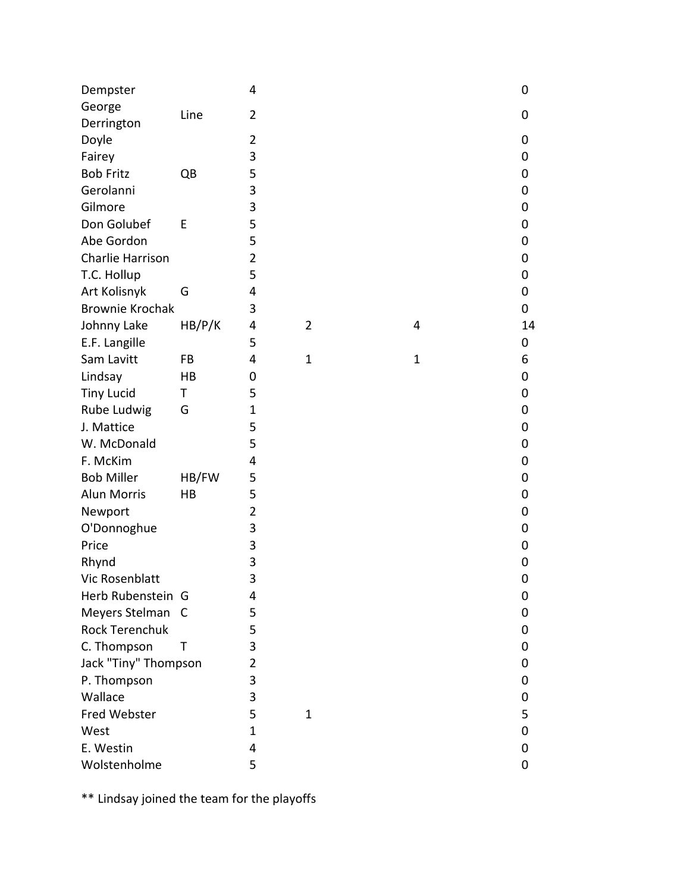| George<br>Line<br>$\overline{2}$<br>0<br>Derrington<br>Doyle<br>$\overline{2}$<br>0<br>3<br>Fairey<br>0<br>5<br><b>Bob Fritz</b><br>QB<br>0<br>Gerolanni<br>3<br>$\pmb{0}$<br>3<br>Gilmore<br>0<br>Don Golubef<br>5<br>E<br>$\pmb{0}$<br>5<br>Abe Gordon<br>0<br>Charlie Harrison<br>$\overline{2}$<br>$\pmb{0}$<br>T.C. Hollup<br>5<br>0<br>Art Kolisnyk<br>G<br>4<br>0<br><b>Brownie Krochak</b><br>3<br>0<br>Johnny Lake<br>HB/P/K<br>4<br>$\overline{2}$<br>4<br>14<br>E.F. Langille<br>5<br>0<br>Sam Lavitt<br>FB<br>4<br>$\mathbf{1}$<br>$\mathbf{1}$<br>6<br>Lindsay<br>HB<br>0<br>$\pmb{0}$<br><b>Tiny Lucid</b><br>5<br>$\pmb{0}$<br>Τ<br>Rube Ludwig<br>$\mathbf{1}$<br>G<br>0<br>J. Mattice<br>5<br>$\pmb{0}$<br>5<br>W. McDonald<br>0<br>F. McKim<br>4<br>$\pmb{0}$<br><b>Bob Miller</b><br>HB/FW<br>5<br>0<br><b>Alun Morris</b><br>5<br>HB<br>$\pmb{0}$<br>$\overline{2}$<br>Newport<br>0<br>3<br>O'Donnoghue<br>$\pmb{0}$<br>3<br>Price<br>0<br>3<br>Rhynd<br>$\mathbf 0$<br>3<br>Vic Rosenblatt<br>$\mathbf 0$<br>Herb Rubenstein G<br>4<br>0<br>Meyers Stelman<br>5<br>$\mathsf{C}$<br>0<br><b>Rock Terenchuk</b><br>5<br>0 | Dempster    |   | 4 |  | $\mathbf 0$ |
|----------------------------------------------------------------------------------------------------------------------------------------------------------------------------------------------------------------------------------------------------------------------------------------------------------------------------------------------------------------------------------------------------------------------------------------------------------------------------------------------------------------------------------------------------------------------------------------------------------------------------------------------------------------------------------------------------------------------------------------------------------------------------------------------------------------------------------------------------------------------------------------------------------------------------------------------------------------------------------------------------------------------------------------------------------------------------------------------------------------------------------------------|-------------|---|---|--|-------------|
|                                                                                                                                                                                                                                                                                                                                                                                                                                                                                                                                                                                                                                                                                                                                                                                                                                                                                                                                                                                                                                                                                                                                              |             |   |   |  |             |
|                                                                                                                                                                                                                                                                                                                                                                                                                                                                                                                                                                                                                                                                                                                                                                                                                                                                                                                                                                                                                                                                                                                                              |             |   |   |  |             |
|                                                                                                                                                                                                                                                                                                                                                                                                                                                                                                                                                                                                                                                                                                                                                                                                                                                                                                                                                                                                                                                                                                                                              |             |   |   |  |             |
|                                                                                                                                                                                                                                                                                                                                                                                                                                                                                                                                                                                                                                                                                                                                                                                                                                                                                                                                                                                                                                                                                                                                              |             |   |   |  |             |
|                                                                                                                                                                                                                                                                                                                                                                                                                                                                                                                                                                                                                                                                                                                                                                                                                                                                                                                                                                                                                                                                                                                                              |             |   |   |  |             |
|                                                                                                                                                                                                                                                                                                                                                                                                                                                                                                                                                                                                                                                                                                                                                                                                                                                                                                                                                                                                                                                                                                                                              |             |   |   |  |             |
|                                                                                                                                                                                                                                                                                                                                                                                                                                                                                                                                                                                                                                                                                                                                                                                                                                                                                                                                                                                                                                                                                                                                              |             |   |   |  |             |
|                                                                                                                                                                                                                                                                                                                                                                                                                                                                                                                                                                                                                                                                                                                                                                                                                                                                                                                                                                                                                                                                                                                                              |             |   |   |  |             |
|                                                                                                                                                                                                                                                                                                                                                                                                                                                                                                                                                                                                                                                                                                                                                                                                                                                                                                                                                                                                                                                                                                                                              |             |   |   |  |             |
|                                                                                                                                                                                                                                                                                                                                                                                                                                                                                                                                                                                                                                                                                                                                                                                                                                                                                                                                                                                                                                                                                                                                              |             |   |   |  |             |
|                                                                                                                                                                                                                                                                                                                                                                                                                                                                                                                                                                                                                                                                                                                                                                                                                                                                                                                                                                                                                                                                                                                                              |             |   |   |  |             |
|                                                                                                                                                                                                                                                                                                                                                                                                                                                                                                                                                                                                                                                                                                                                                                                                                                                                                                                                                                                                                                                                                                                                              |             |   |   |  |             |
|                                                                                                                                                                                                                                                                                                                                                                                                                                                                                                                                                                                                                                                                                                                                                                                                                                                                                                                                                                                                                                                                                                                                              |             |   |   |  |             |
|                                                                                                                                                                                                                                                                                                                                                                                                                                                                                                                                                                                                                                                                                                                                                                                                                                                                                                                                                                                                                                                                                                                                              |             |   |   |  |             |
|                                                                                                                                                                                                                                                                                                                                                                                                                                                                                                                                                                                                                                                                                                                                                                                                                                                                                                                                                                                                                                                                                                                                              |             |   |   |  |             |
|                                                                                                                                                                                                                                                                                                                                                                                                                                                                                                                                                                                                                                                                                                                                                                                                                                                                                                                                                                                                                                                                                                                                              |             |   |   |  |             |
|                                                                                                                                                                                                                                                                                                                                                                                                                                                                                                                                                                                                                                                                                                                                                                                                                                                                                                                                                                                                                                                                                                                                              |             |   |   |  |             |
|                                                                                                                                                                                                                                                                                                                                                                                                                                                                                                                                                                                                                                                                                                                                                                                                                                                                                                                                                                                                                                                                                                                                              |             |   |   |  |             |
|                                                                                                                                                                                                                                                                                                                                                                                                                                                                                                                                                                                                                                                                                                                                                                                                                                                                                                                                                                                                                                                                                                                                              |             |   |   |  |             |
|                                                                                                                                                                                                                                                                                                                                                                                                                                                                                                                                                                                                                                                                                                                                                                                                                                                                                                                                                                                                                                                                                                                                              |             |   |   |  |             |
|                                                                                                                                                                                                                                                                                                                                                                                                                                                                                                                                                                                                                                                                                                                                                                                                                                                                                                                                                                                                                                                                                                                                              |             |   |   |  |             |
|                                                                                                                                                                                                                                                                                                                                                                                                                                                                                                                                                                                                                                                                                                                                                                                                                                                                                                                                                                                                                                                                                                                                              |             |   |   |  |             |
|                                                                                                                                                                                                                                                                                                                                                                                                                                                                                                                                                                                                                                                                                                                                                                                                                                                                                                                                                                                                                                                                                                                                              |             |   |   |  |             |
|                                                                                                                                                                                                                                                                                                                                                                                                                                                                                                                                                                                                                                                                                                                                                                                                                                                                                                                                                                                                                                                                                                                                              |             |   |   |  |             |
|                                                                                                                                                                                                                                                                                                                                                                                                                                                                                                                                                                                                                                                                                                                                                                                                                                                                                                                                                                                                                                                                                                                                              |             |   |   |  |             |
|                                                                                                                                                                                                                                                                                                                                                                                                                                                                                                                                                                                                                                                                                                                                                                                                                                                                                                                                                                                                                                                                                                                                              |             |   |   |  |             |
|                                                                                                                                                                                                                                                                                                                                                                                                                                                                                                                                                                                                                                                                                                                                                                                                                                                                                                                                                                                                                                                                                                                                              |             |   |   |  |             |
|                                                                                                                                                                                                                                                                                                                                                                                                                                                                                                                                                                                                                                                                                                                                                                                                                                                                                                                                                                                                                                                                                                                                              |             |   |   |  |             |
|                                                                                                                                                                                                                                                                                                                                                                                                                                                                                                                                                                                                                                                                                                                                                                                                                                                                                                                                                                                                                                                                                                                                              |             |   |   |  |             |
|                                                                                                                                                                                                                                                                                                                                                                                                                                                                                                                                                                                                                                                                                                                                                                                                                                                                                                                                                                                                                                                                                                                                              |             |   |   |  |             |
|                                                                                                                                                                                                                                                                                                                                                                                                                                                                                                                                                                                                                                                                                                                                                                                                                                                                                                                                                                                                                                                                                                                                              |             |   |   |  |             |
|                                                                                                                                                                                                                                                                                                                                                                                                                                                                                                                                                                                                                                                                                                                                                                                                                                                                                                                                                                                                                                                                                                                                              |             |   |   |  |             |
|                                                                                                                                                                                                                                                                                                                                                                                                                                                                                                                                                                                                                                                                                                                                                                                                                                                                                                                                                                                                                                                                                                                                              | C. Thompson | Τ | 3 |  | 0           |
| Jack "Tiny" Thompson<br>$\overline{2}$<br>0                                                                                                                                                                                                                                                                                                                                                                                                                                                                                                                                                                                                                                                                                                                                                                                                                                                                                                                                                                                                                                                                                                  |             |   |   |  |             |
| 3<br>P. Thompson<br>0                                                                                                                                                                                                                                                                                                                                                                                                                                                                                                                                                                                                                                                                                                                                                                                                                                                                                                                                                                                                                                                                                                                        |             |   |   |  |             |
| Wallace<br>3<br>0                                                                                                                                                                                                                                                                                                                                                                                                                                                                                                                                                                                                                                                                                                                                                                                                                                                                                                                                                                                                                                                                                                                            |             |   |   |  |             |
| Fred Webster<br>5<br>$\mathbf{1}$<br>5                                                                                                                                                                                                                                                                                                                                                                                                                                                                                                                                                                                                                                                                                                                                                                                                                                                                                                                                                                                                                                                                                                       |             |   |   |  |             |
| West<br>$\mathbf{1}$<br>$\mathbf 0$                                                                                                                                                                                                                                                                                                                                                                                                                                                                                                                                                                                                                                                                                                                                                                                                                                                                                                                                                                                                                                                                                                          |             |   |   |  |             |
| E. Westin<br>4<br>0                                                                                                                                                                                                                                                                                                                                                                                                                                                                                                                                                                                                                                                                                                                                                                                                                                                                                                                                                                                                                                                                                                                          |             |   |   |  |             |
| Wolstenholme<br>5<br>0                                                                                                                                                                                                                                                                                                                                                                                                                                                                                                                                                                                                                                                                                                                                                                                                                                                                                                                                                                                                                                                                                                                       |             |   |   |  |             |

\*\* Lindsay joined the team for the playoffs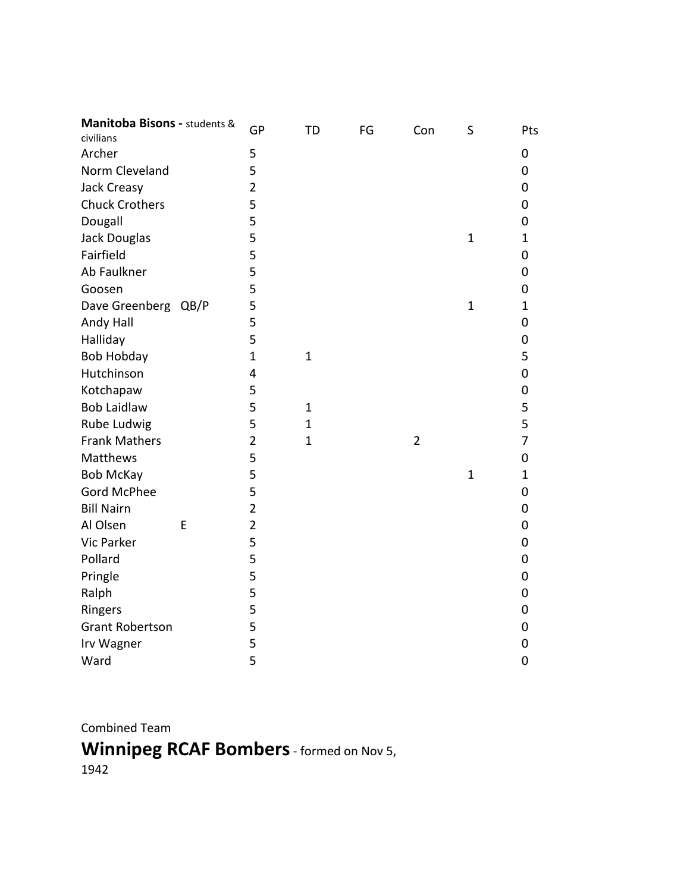| Manitoba Bisons - students &<br>civilians | GP             | <b>TD</b>    | FG | Con            | S              | Pts            |
|-------------------------------------------|----------------|--------------|----|----------------|----------------|----------------|
| Archer                                    | 5              |              |    |                |                | 0              |
| Norm Cleveland                            | 5              |              |    |                |                | 0              |
| Jack Creasy                               | $\overline{2}$ |              |    |                |                | 0              |
| <b>Chuck Crothers</b>                     | 5              |              |    |                |                | 0              |
| Dougall                                   | 5              |              |    |                |                | 0              |
| Jack Douglas                              | 5              |              |    |                | $\mathbf{1}$   | $\mathbf 1$    |
| Fairfield                                 | 5              |              |    |                |                | 0              |
| Ab Faulkner                               | 5              |              |    |                |                | 0              |
| Goosen                                    | 5              |              |    |                |                | 0              |
| Dave Greenberg QB/P                       | 5              |              |    |                | $\mathbf{1}$   | $\mathbf 1$    |
| Andy Hall                                 | 5              |              |    |                |                | 0              |
| Halliday                                  | 5              |              |    |                |                | 0              |
| <b>Bob Hobday</b>                         | $\mathbf{1}$   | $\mathbf{1}$ |    |                |                | 5              |
| Hutchinson                                | 4              |              |    |                |                | 0              |
| Kotchapaw                                 | 5              |              |    |                |                | 0              |
| <b>Bob Laidlaw</b>                        | 5              | $\mathbf{1}$ |    |                |                | 5              |
| Rube Ludwig                               | 5              | $\mathbf{1}$ |    |                |                | 5              |
| <b>Frank Mathers</b>                      | $\overline{2}$ | $\mathbf{1}$ |    | $\overline{2}$ |                | $\overline{7}$ |
| Matthews                                  | 5              |              |    |                |                | 0              |
| <b>Bob McKay</b>                          | 5              |              |    |                | $\overline{1}$ | 1              |
| <b>Gord McPhee</b>                        | 5              |              |    |                |                | 0              |
| <b>Bill Nairn</b>                         | $\overline{2}$ |              |    |                |                | 0              |
| Al Olsen<br>E                             | $\overline{2}$ |              |    |                |                | 0              |
| Vic Parker                                | 5              |              |    |                |                | 0              |
| Pollard                                   | 5              |              |    |                |                | 0              |
| Pringle                                   | 5              |              |    |                |                | 0              |
| Ralph                                     | 5              |              |    |                |                | 0              |
| Ringers                                   | 5              |              |    |                |                | 0              |
| <b>Grant Robertson</b>                    | 5              |              |    |                |                | 0              |
| Irv Wagner                                | 5              |              |    |                |                | 0              |
| Ward                                      | 5              |              |    |                |                | 0              |
|                                           |                |              |    |                |                |                |

Combined Team

**Winnipeg RCAF Bombers**- formed on Nov 5, 1942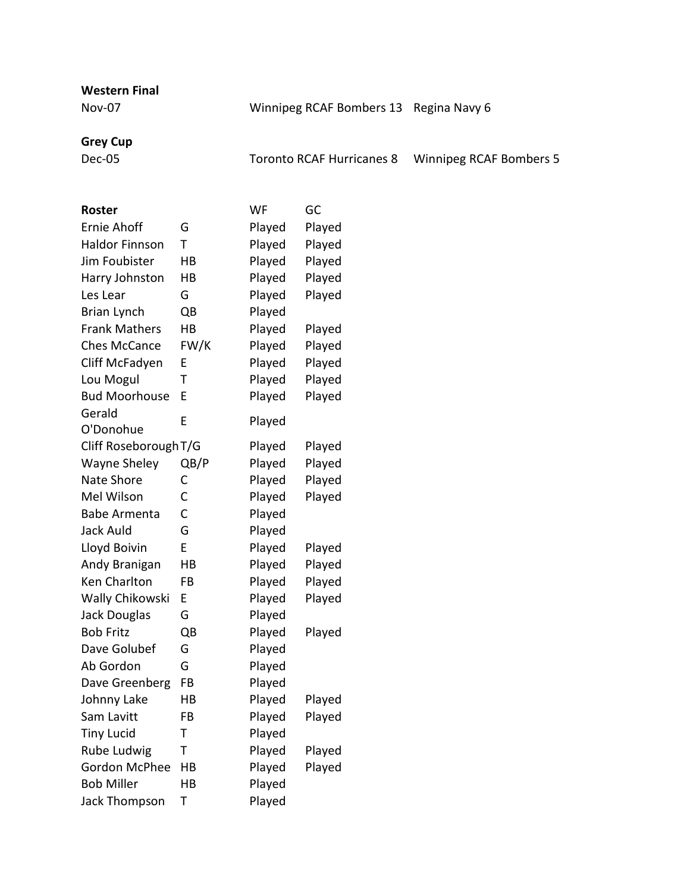**Western Final**

Nov-07 Winnipeg RCAF Bombers 13 Regina Navy 6

## **Grey Cup**

Dec-05 Toronto RCAF Hurricanes 8 Winnipeg RCAF Bombers 5

| <b>Roster</b>         |      | WF     | GC     |
|-----------------------|------|--------|--------|
| <b>Ernie Ahoff</b>    | G    | Played | Played |
| <b>Haldor Finnson</b> | Т    | Played | Played |
| Jim Foubister         | HB   | Played | Played |
| Harry Johnston        | НB   | Played | Played |
| Les Lear              | G    | Played | Played |
| Brian Lynch           | QB   | Played |        |
| <b>Frank Mathers</b>  | HB   | Played | Played |
| <b>Ches McCance</b>   | FW/K | Played | Played |
| Cliff McFadyen        | E    | Played | Played |
| Lou Mogul             | т    | Played | Played |
| <b>Bud Moorhouse</b>  | E    | Played | Played |
| Gerald                | E    | Played |        |
| O'Donohue             |      |        |        |
| Cliff Roseborough T/G |      | Played | Played |
| <b>Wayne Sheley</b>   | QB/P | Played | Played |
| Nate Shore            | С    | Played | Played |
| Mel Wilson            | С    | Played | Played |
| <b>Babe Armenta</b>   | C    | Played |        |
| Jack Auld             | G    | Played |        |
| Lloyd Boivin          | E    | Played | Played |
| Andy Branigan         | HB   | Played | Played |
| Ken Charlton          | FB   | Played | Played |
| Wally Chikowski       | E    | Played | Played |
| Jack Douglas          | G    | Played |        |
| <b>Bob Fritz</b>      | QB   | Played | Played |
| Dave Golubef          | G    | Played |        |
| Ab Gordon             | G    | Played |        |
| Dave Greenberg        | FB   | Played |        |
| Johnny Lake           | НB   | Played | Played |
| Sam Lavitt            | FB   | Played | Played |
| <b>Tiny Lucid</b>     | Т    | Played |        |
| Rube Ludwig           | Т    | Played | Played |
| <b>Gordon McPhee</b>  | НB   | Played | Played |
| <b>Bob Miller</b>     | HB   | Played |        |
| Jack Thompson         | Т    | Played |        |